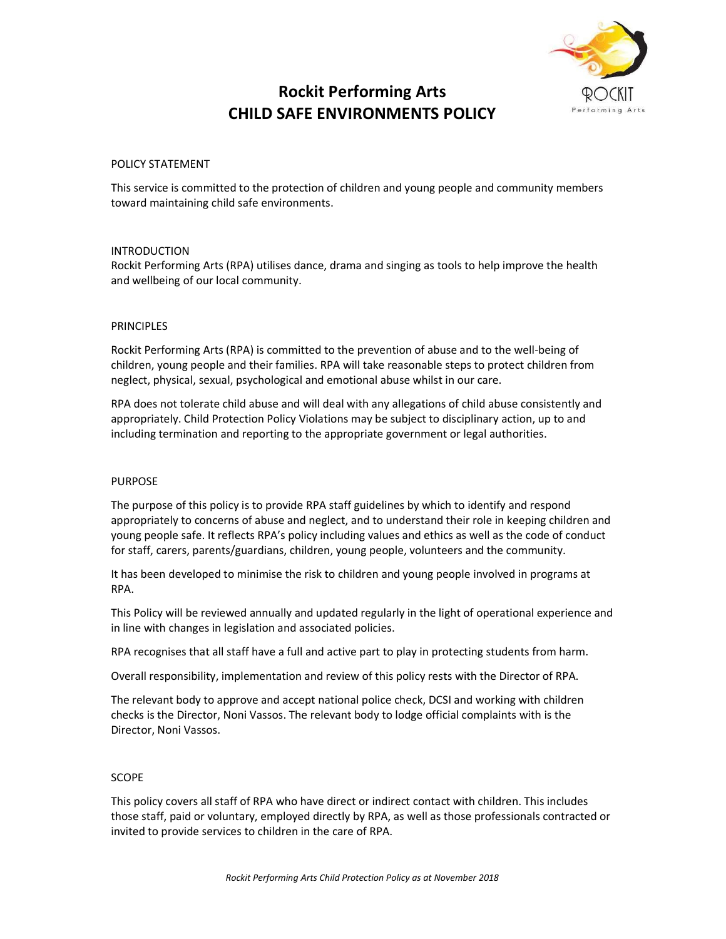

# Rockit Performing Arts CHILD SAFE ENVIRONMENTS POLICY

#### POLICY STATEMENT

This service is committed to the protection of children and young people and community members toward maintaining child safe environments.

## INTRODUCTION

Rockit Performing Arts (RPA) utilises dance, drama and singing as tools to help improve the health and wellbeing of our local community.

#### PRINCIPLES

Rockit Performing Arts (RPA) is committed to the prevention of abuse and to the well-being of children, young people and their families. RPA will take reasonable steps to protect children from neglect, physical, sexual, psychological and emotional abuse whilst in our care.

RPA does not tolerate child abuse and will deal with any allegations of child abuse consistently and appropriately. Child Protection Policy Violations may be subject to disciplinary action, up to and including termination and reporting to the appropriate government or legal authorities.

#### PURPOSE

The purpose of this policy is to provide RPA staff guidelines by which to identify and respond appropriately to concerns of abuse and neglect, and to understand their role in keeping children and young people safe. It reflects RPA's policy including values and ethics as well as the code of conduct for staff, carers, parents/guardians, children, young people, volunteers and the community.

It has been developed to minimise the risk to children and young people involved in programs at RPA.

This Policy will be reviewed annually and updated regularly in the light of operational experience and in line with changes in legislation and associated policies.

RPA recognises that all staff have a full and active part to play in protecting students from harm.

Overall responsibility, implementation and review of this policy rests with the Director of RPA.

The relevant body to approve and accept national police check, DCSI and working with children checks is the Director, Noni Vassos. The relevant body to lodge official complaints with is the Director, Noni Vassos.

#### SCOPE

This policy covers all staff of RPA who have direct or indirect contact with children. This includes those staff, paid or voluntary, employed directly by RPA, as well as those professionals contracted or invited to provide services to children in the care of RPA.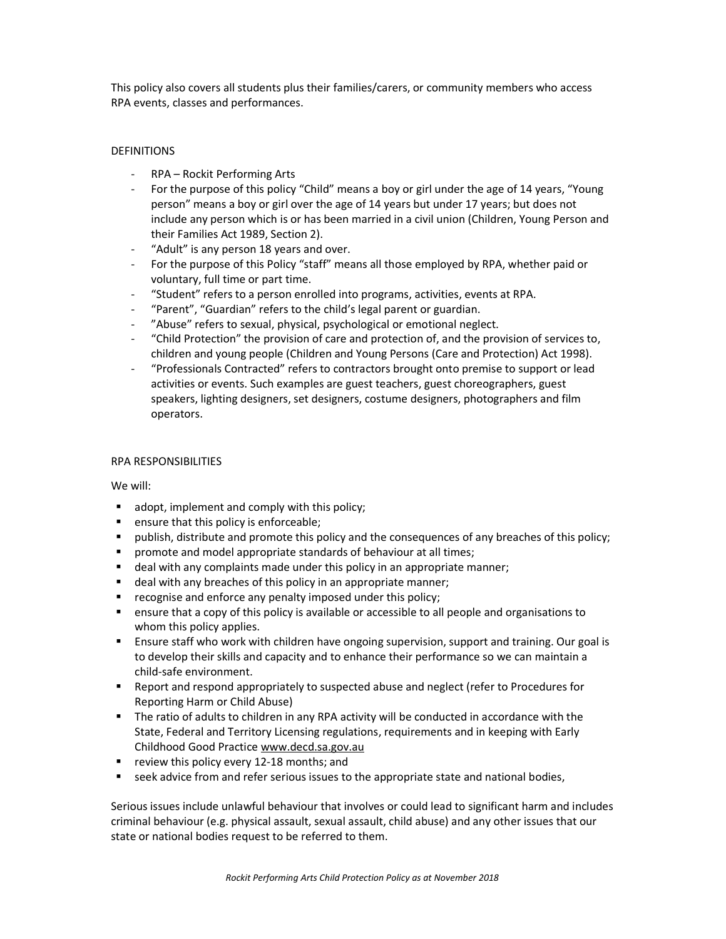This policy also covers all students plus their families/carers, or community members who access RPA events, classes and performances.

# **DEFINITIONS**

- RPA Rockit Performing Arts
- For the purpose of this policy "Child" means a boy or girl under the age of 14 years, "Young person" means a boy or girl over the age of 14 years but under 17 years; but does not include any person which is or has been married in a civil union (Children, Young Person and their Families Act 1989, Section 2).
- "Adult" is any person 18 years and over.
- For the purpose of this Policy "staff" means all those employed by RPA, whether paid or voluntary, full time or part time.
- "Student" refers to a person enrolled into programs, activities, events at RPA.
- "Parent", "Guardian" refers to the child's legal parent or guardian.
- "Abuse" refers to sexual, physical, psychological or emotional neglect.
- "Child Protection" the provision of care and protection of, and the provision of services to, children and young people (Children and Young Persons (Care and Protection) Act 1998).
- "Professionals Contracted" refers to contractors brought onto premise to support or lead activities or events. Such examples are guest teachers, guest choreographers, guest speakers, lighting designers, set designers, costume designers, photographers and film operators.

## RPA RESPONSIBILITIES

We will:

- adopt, implement and comply with this policy;
- **EXE** ensure that this policy is enforceable;
- publish, distribute and promote this policy and the consequences of any breaches of this policy;
- **PED 10** promote and model appropriate standards of behaviour at all times;
- deal with any complaints made under this policy in an appropriate manner;
- **deal with any breaches of this policy in an appropriate manner;**
- **F** recognise and enforce any penalty imposed under this policy;
- ensure that a copy of this policy is available or accessible to all people and organisations to whom this policy applies.
- Ensure staff who work with children have ongoing supervision, support and training. Our goal is to develop their skills and capacity and to enhance their performance so we can maintain a child-safe environment.
- **Report and respond appropriately to suspected abuse and neglect (refer to Procedures for** Reporting Harm or Child Abuse)
- The ratio of adults to children in any RPA activity will be conducted in accordance with the State, Federal and Territory Licensing regulations, requirements and in keeping with Early Childhood Good Practice www.decd.sa.gov.au
- review this policy every 12-18 months; and
- seek advice from and refer serious issues to the appropriate state and national bodies,

Serious issues include unlawful behaviour that involves or could lead to significant harm and includes criminal behaviour (e.g. physical assault, sexual assault, child abuse) and any other issues that our state or national bodies request to be referred to them.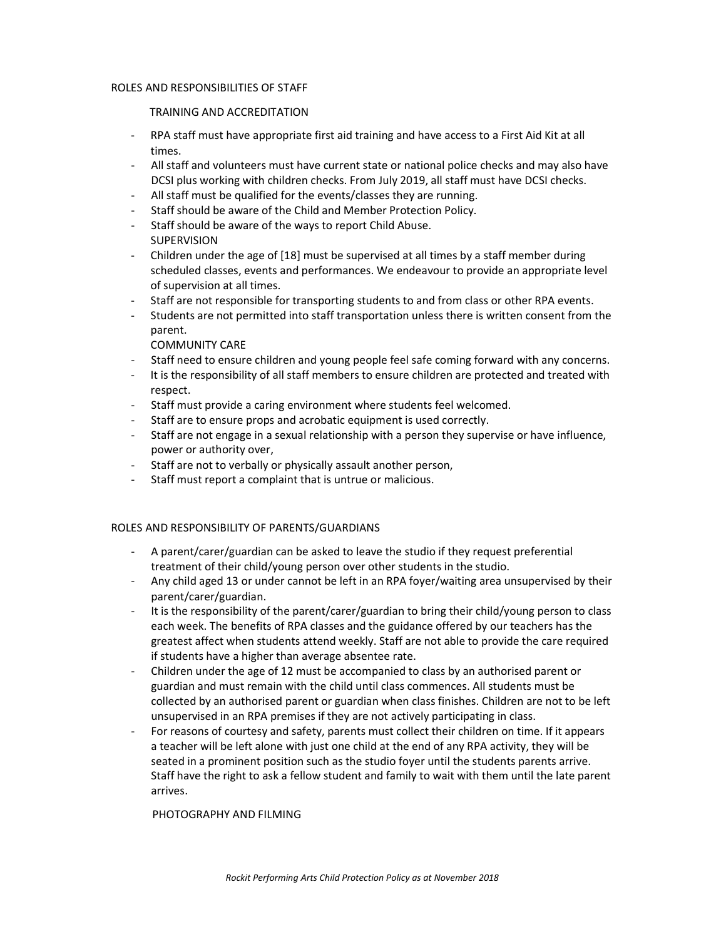#### ROLES AND RESPONSIBILITIES OF STAFF

## TRAINING AND ACCREDITATION

- RPA staff must have appropriate first aid training and have access to a First Aid Kit at all times.
- All staff and volunteers must have current state or national police checks and may also have DCSI plus working with children checks. From July 2019, all staff must have DCSI checks.
- All staff must be qualified for the events/classes they are running.
- Staff should be aware of the Child and Member Protection Policy.
- Staff should be aware of the ways to report Child Abuse.
- SUPERVISION
- Children under the age of [18] must be supervised at all times by a staff member during scheduled classes, events and performances. We endeavour to provide an appropriate level of supervision at all times.
- Staff are not responsible for transporting students to and from class or other RPA events.
- Students are not permitted into staff transportation unless there is written consent from the parent.

# COMMUNITY CARE

- Staff need to ensure children and young people feel safe coming forward with any concerns.
- It is the responsibility of all staff members to ensure children are protected and treated with respect.
- Staff must provide a caring environment where students feel welcomed.
- Staff are to ensure props and acrobatic equipment is used correctly.
- Staff are not engage in a sexual relationship with a person they supervise or have influence, power or authority over,
- Staff are not to verbally or physically assault another person,
- Staff must report a complaint that is untrue or malicious.

## ROLES AND RESPONSIBILITY OF PARENTS/GUARDIANS

- A parent/carer/guardian can be asked to leave the studio if they request preferential treatment of their child/young person over other students in the studio.
- Any child aged 13 or under cannot be left in an RPA foyer/waiting area unsupervised by their parent/carer/guardian.
- It is the responsibility of the parent/carer/guardian to bring their child/young person to class each week. The benefits of RPA classes and the guidance offered by our teachers has the greatest affect when students attend weekly. Staff are not able to provide the care required if students have a higher than average absentee rate.
- Children under the age of 12 must be accompanied to class by an authorised parent or guardian and must remain with the child until class commences. All students must be collected by an authorised parent or guardian when class finishes. Children are not to be left unsupervised in an RPA premises if they are not actively participating in class.
- For reasons of courtesy and safety, parents must collect their children on time. If it appears a teacher will be left alone with just one child at the end of any RPA activity, they will be seated in a prominent position such as the studio foyer until the students parents arrive. Staff have the right to ask a fellow student and family to wait with them until the late parent arrives.

# PHOTOGRAPHY AND FILMING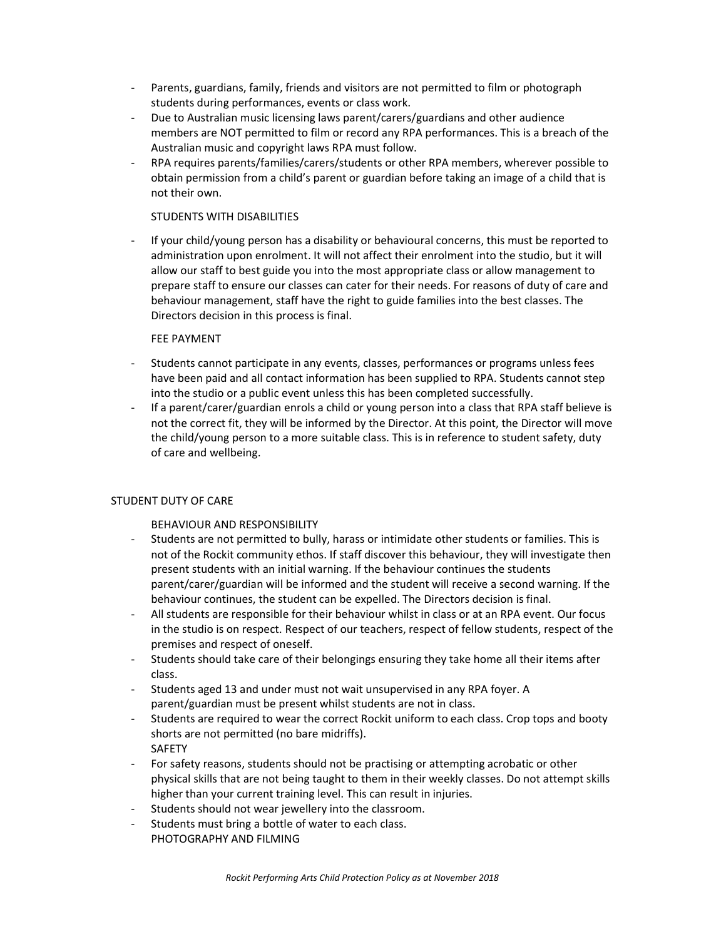- Parents, guardians, family, friends and visitors are not permitted to film or photograph students during performances, events or class work.
- Due to Australian music licensing laws parent/carers/guardians and other audience members are NOT permitted to film or record any RPA performances. This is a breach of the Australian music and copyright laws RPA must follow.
- RPA requires parents/families/carers/students or other RPA members, wherever possible to obtain permission from a child's parent or guardian before taking an image of a child that is not their own.

## STUDENTS WITH DISABILITIES

- If your child/young person has a disability or behavioural concerns, this must be reported to administration upon enrolment. It will not affect their enrolment into the studio, but it will allow our staff to best guide you into the most appropriate class or allow management to prepare staff to ensure our classes can cater for their needs. For reasons of duty of care and behaviour management, staff have the right to guide families into the best classes. The Directors decision in this process is final.

## FEE PAYMENT

- Students cannot participate in any events, classes, performances or programs unless fees have been paid and all contact information has been supplied to RPA. Students cannot step into the studio or a public event unless this has been completed successfully.
- If a parent/carer/guardian enrols a child or young person into a class that RPA staff believe is not the correct fit, they will be informed by the Director. At this point, the Director will move the child/young person to a more suitable class. This is in reference to student safety, duty of care and wellbeing.

# STUDENT DUTY OF CARE

# BEHAVIOUR AND RESPONSIBILITY

- Students are not permitted to bully, harass or intimidate other students or families. This is not of the Rockit community ethos. If staff discover this behaviour, they will investigate then present students with an initial warning. If the behaviour continues the students parent/carer/guardian will be informed and the student will receive a second warning. If the behaviour continues, the student can be expelled. The Directors decision is final.
- All students are responsible for their behaviour whilst in class or at an RPA event. Our focus in the studio is on respect. Respect of our teachers, respect of fellow students, respect of the premises and respect of oneself.
- Students should take care of their belongings ensuring they take home all their items after class.
- Students aged 13 and under must not wait unsupervised in any RPA foyer. A parent/guardian must be present whilst students are not in class.
- Students are required to wear the correct Rockit uniform to each class. Crop tops and booty shorts are not permitted (no bare midriffs). SAFETY
- For safety reasons, students should not be practising or attempting acrobatic or other physical skills that are not being taught to them in their weekly classes. Do not attempt skills higher than your current training level. This can result in injuries.
- Students should not wear jewellery into the classroom.
- Students must bring a bottle of water to each class. PHOTOGRAPHY AND FILMING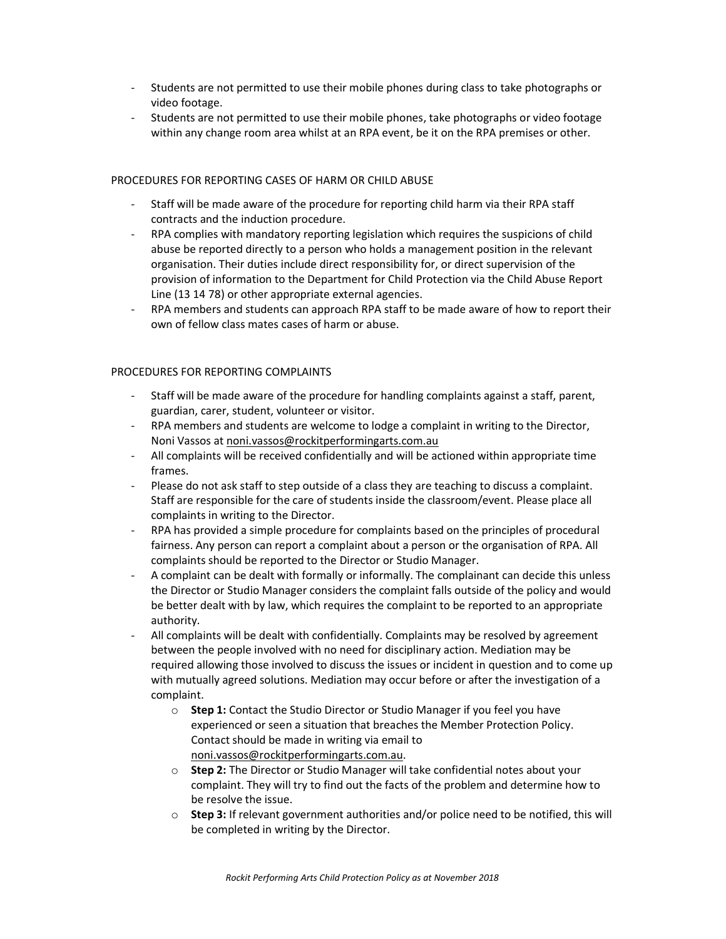- Students are not permitted to use their mobile phones during class to take photographs or video footage.
- Students are not permitted to use their mobile phones, take photographs or video footage within any change room area whilst at an RPA event, be it on the RPA premises or other.

#### PROCEDURES FOR REPORTING CASES OF HARM OR CHILD ABUSE

- Staff will be made aware of the procedure for reporting child harm via their RPA staff contracts and the induction procedure.
- RPA complies with mandatory reporting legislation which requires the suspicions of child abuse be reported directly to a person who holds a management position in the relevant organisation. Their duties include direct responsibility for, or direct supervision of the provision of information to the Department for Child Protection via the Child Abuse Report Line (13 14 78) or other appropriate external agencies.
- RPA members and students can approach RPA staff to be made aware of how to report their own of fellow class mates cases of harm or abuse.

## PROCEDURES FOR REPORTING COMPLAINTS

- Staff will be made aware of the procedure for handling complaints against a staff, parent, guardian, carer, student, volunteer or visitor.
- RPA members and students are welcome to lodge a complaint in writing to the Director, Noni Vassos at noni.vassos@rockitperformingarts.com.au
- All complaints will be received confidentially and will be actioned within appropriate time frames.
- Please do not ask staff to step outside of a class they are teaching to discuss a complaint. Staff are responsible for the care of students inside the classroom/event. Please place all complaints in writing to the Director.
- RPA has provided a simple procedure for complaints based on the principles of procedural fairness. Any person can report a complaint about a person or the organisation of RPA. All complaints should be reported to the Director or Studio Manager.
- A complaint can be dealt with formally or informally. The complainant can decide this unless the Director or Studio Manager considers the complaint falls outside of the policy and would be better dealt with by law, which requires the complaint to be reported to an appropriate authority.
- All complaints will be dealt with confidentially. Complaints may be resolved by agreement between the people involved with no need for disciplinary action. Mediation may be required allowing those involved to discuss the issues or incident in question and to come up with mutually agreed solutions. Mediation may occur before or after the investigation of a complaint.
	- $\circ$  Step 1: Contact the Studio Director or Studio Manager if you feel you have experienced or seen a situation that breaches the Member Protection Policy. Contact should be made in writing via email to noni.vassos@rockitperformingarts.com.au.
	- Step 2: The Director or Studio Manager will take confidential notes about your complaint. They will try to find out the facts of the problem and determine how to be resolve the issue.
	- o Step 3: If relevant government authorities and/or police need to be notified, this will be completed in writing by the Director.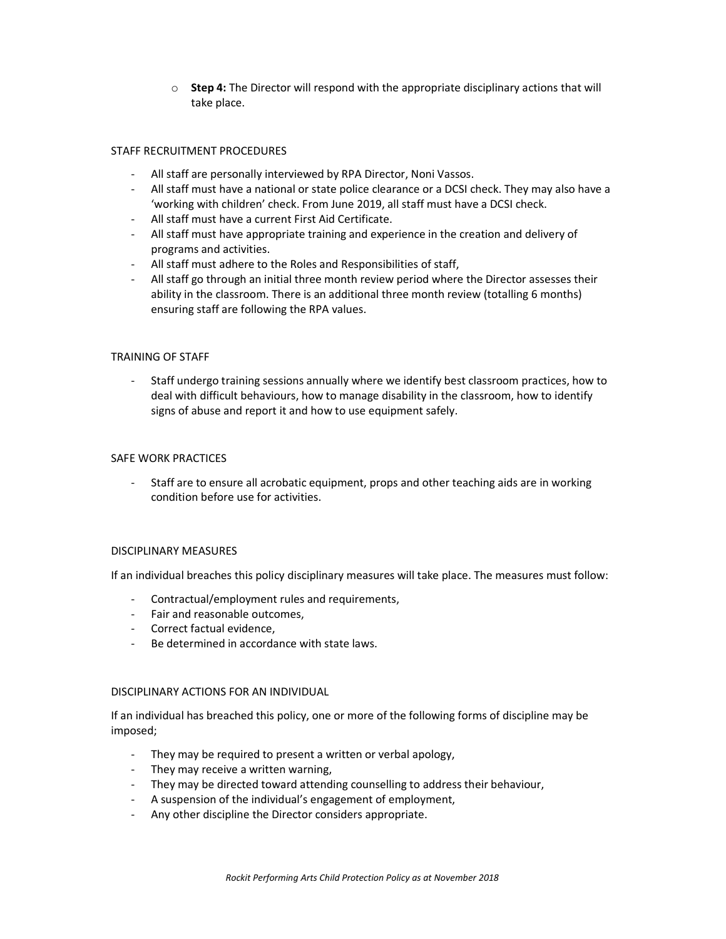$\circ$  Step 4: The Director will respond with the appropriate disciplinary actions that will take place.

#### STAFF RECRUITMENT PROCEDURES

- All staff are personally interviewed by RPA Director, Noni Vassos.
- All staff must have a national or state police clearance or a DCSI check. They may also have a 'working with children' check. From June 2019, all staff must have a DCSI check.
- All staff must have a current First Aid Certificate.
- All staff must have appropriate training and experience in the creation and delivery of programs and activities.
- All staff must adhere to the Roles and Responsibilities of staff,
- All staff go through an initial three month review period where the Director assesses their ability in the classroom. There is an additional three month review (totalling 6 months) ensuring staff are following the RPA values.

#### TRAINING OF STAFF

- Staff undergo training sessions annually where we identify best classroom practices, how to deal with difficult behaviours, how to manage disability in the classroom, how to identify signs of abuse and report it and how to use equipment safely.

#### SAFE WORK PRACTICES

- Staff are to ensure all acrobatic equipment, props and other teaching aids are in working condition before use for activities.

#### DISCIPLINARY MEASURES

If an individual breaches this policy disciplinary measures will take place. The measures must follow:

- Contractual/employment rules and requirements,
- Fair and reasonable outcomes,
- Correct factual evidence,
- Be determined in accordance with state laws.

#### DISCIPLINARY ACTIONS FOR AN INDIVIDUAL

If an individual has breached this policy, one or more of the following forms of discipline may be imposed;

- They may be required to present a written or verbal apology,
- They may receive a written warning,
- They may be directed toward attending counselling to address their behaviour,
- A suspension of the individual's engagement of employment,
- Any other discipline the Director considers appropriate.